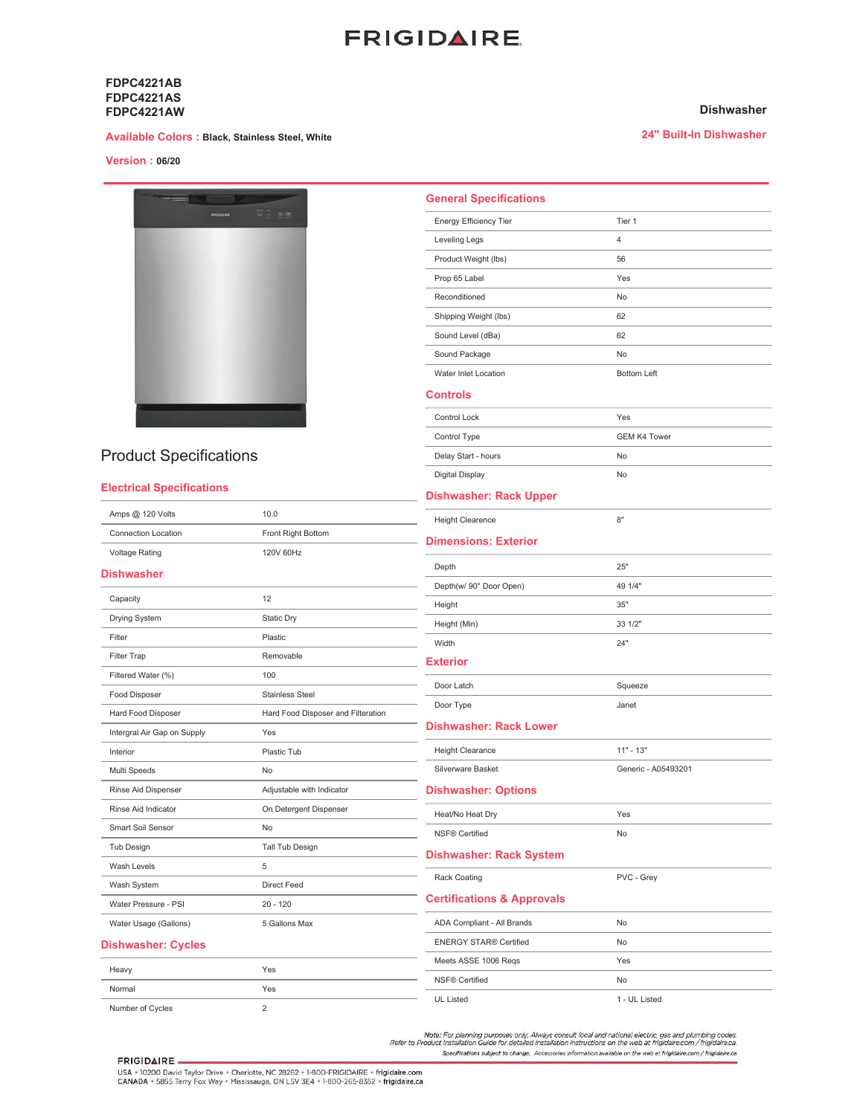# **FRIGIDAIRE**

**General Specifications** Energy Efficiency Tier

Leveling Legs

Prop 65 Label

Reconditioned

Product Weight (lbs)

Shipping Weight (lbs)

Sound Level (dBa)

## **FDPC4221AB FDPC4221AS FDPC4221AW**

### **Available Colors : Black, Stainless Steel, White**

# **Version: 06/20**



# **Product Specifications**

# **Electrical Specifications**

Voltage Rating

**Dishwasher** 

Drying System

Capacity

Filter

### Sound Package **No** Water Inlet Location **Bottom Left Controls** Control Lock Yes Control Type **GEM K4 Tower** Delay Start - hours  $N<sub>0</sub>$ Digital Display No **Dishwasher: Rack Upper** Amps @ 120 Volts  $10.0$ **Height Clearence**  $8"$ **Connection Location** Front Right Bottom **Dimensions: Exterior** 120V 60Hz  $25"$ Depth Depth(w/ 90° Door Open) 49 1/4"  $12$ Height  $35"$ Static Dry Height (Min) 33 1/2" Plastic Width  $24"$ Removable **Exterior** 100 Door Latch Squeeze

#### Filter Trap Filtered Water (%) Food Disposer Stainless Steel Door Type Janet Hard Food Disposer and Filteration Hard Food Disposer **Dishwasher: Rack Lower** Intergral Air Gap on Supply Yes Height Clearance  $11" - 13"$ Plastic Tub Interior Silverware Basket Generic - A05493201 Multi Speeds **No** Rinse Aid Dispenser Adjustable with Indicator **Dishwasher: Options** Rinse Aid Indicator On Detergent Dispenser Heat/No Heat Dry Yes Smart Soil Sensor No NSF® Certified **No** Tub Design Tall Tub Design **Dishwasher: Rack System** Wash Levels  $\overline{5}$ PVC - Grey Rack Coating Direct Feed Wash System **Certifications & Approvals** Water Pressure - PSI  $20 - 120$ Water Usage (Gallons) 5 Gallons Max ADA Compliant - All Brands **No ENERGY STAR® Certified**  $N<sub>0</sub>$ **Dishwasher: Cycles** Meets ASSE 1006 Reas Yes Heavy Yes **NSF® Certified No** Yes Normal

UL Listed

1 - UL Listed

Note: For planning purposes only. Always consult local and national electric, gas and plumbing codes.<br>Refer to Product Installation Guide for detailed installation instructions on the web at frigidaire.com / frigidaire.ca.

### **FRIGIDAIRE**

Number of Cycles

USA + 10200 David Taylor Drive + Charlotte, NC 28262 + 1-800-FRIGIDAIRE + frigidaire.com<br>CANADA + 5855 Terry Fox Way + Mississauga, ON L5V 3E4 + 1-800-265-8352 + frigidaire.ca

 $\overline{\mathbf{2}}$ 

## **Dishwasher**

24" Built-In Dishwasher

Tier 1

 $\overline{4}$ 

56

Yes

No

62

62